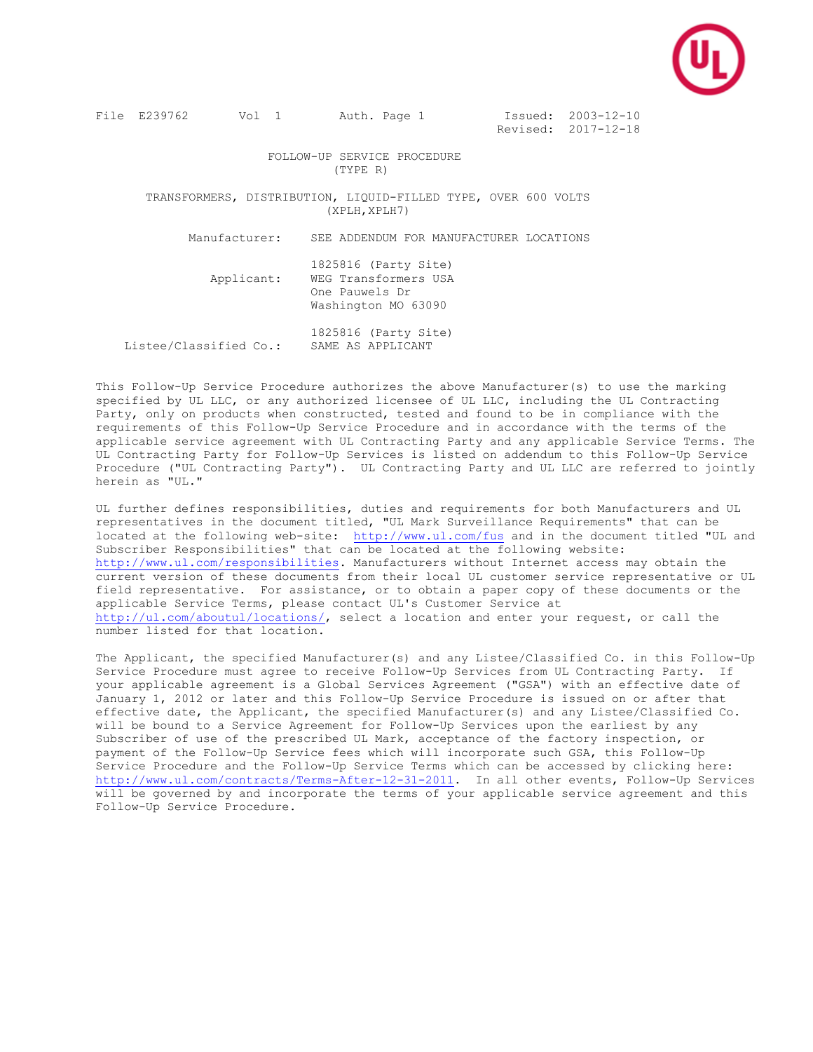

File E239762 Vol 1 Auth. Page 1 Issued: 2003-12-10

Revised: 2017-12-18

 FOLLOW-UP SERVICE PROCEDURE (TYPE R)

 TRANSFORMERS, DISTRIBUTION, LIQUID-FILLED TYPE, OVER 600 VOLTS (XPLH,XPLH7)

Manufacturer: SEE ADDENDUM FOR MANUFACTURER LOCATIONS

 1825816 (Party Site) Applicant: WEG Transformers USA One Pauwels Dr Washington MO 63090

 1825816 (Party Site) Listee/Classified Co.: SAME AS APPLICANT

This Follow-Up Service Procedure authorizes the above Manufacturer(s) to use the marking specified by UL LLC, or any authorized licensee of UL LLC, including the UL Contracting Party, only on products when constructed, tested and found to be in compliance with the requirements of this Follow-Up Service Procedure and in accordance with the terms of the applicable service agreement with UL Contracting Party and any applicable Service Terms. The UL Contracting Party for Follow-Up Services is listed on addendum to this Follow-Up Service Procedure ("UL Contracting Party"). UL Contracting Party and UL LLC are referred to jointly herein as "UL."

UL further defines responsibilities, duties and requirements for both Manufacturers and UL representatives in the document titled, "UL Mark Surveillance Requirements" that can be located at the following web-site: <http://www.ul.com/fus> and in the document titled "UL and Subscriber Responsibilities" that can be located at the following website: [http://www.ul.com/responsibilities.](http://www.ul.com/responsibilities) Manufacturers without Internet access may obtain the current version of these documents from their local UL customer service representative or UL field representative. For assistance, or to obtain a paper copy of these documents or the applicable Service Terms, please contact UL's Customer Service at [http://ul.com/aboutul/locations/,](http://ul.com/aboutul/locations/) select a location and enter your request, or call the number listed for that location.

The Applicant, the specified Manufacturer(s) and any Listee/Classified Co. in this Follow-Up Service Procedure must agree to receive Follow-Up Services from UL Contracting Party. If your applicable agreement is a Global Services Agreement ("GSA") with an effective date of January 1, 2012 or later and this Follow-Up Service Procedure is issued on or after that effective date, the Applicant, the specified Manufacturer(s) and any Listee/Classified Co. will be bound to a Service Agreement for Follow-Up Services upon the earliest by any Subscriber of use of the prescribed UL Mark, acceptance of the factory inspection, or payment of the Follow-Up Service fees which will incorporate such GSA, this Follow-Up Service Procedure and the Follow-Up Service Terms which can be accessed by clicking here: [http://www.ul.com/contracts/Terms-After-12-31-2011.](http://www.ul.com/contracts/Terms-After-12-31-2011) In all other events, Follow-Up Services will be governed by and incorporate the terms of your applicable service agreement and this Follow-Up Service Procedure.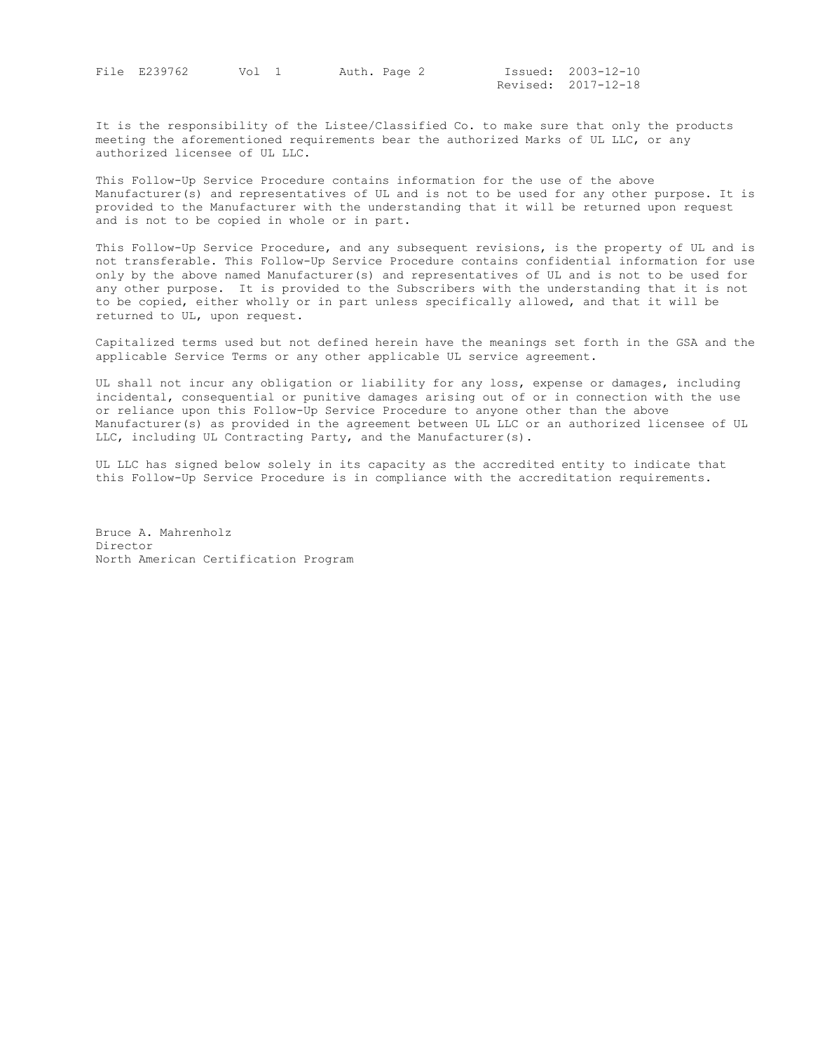File E239762 Vol 1 Auth. Page 2

Issued: 2003-12-10<br>Revised: 2017-12-18

It is the responsibility of the Listee/Classified Co. to make sure that only the products meeting the aforementioned requirements bear the authorized Marks of UL LLC, or any authorized licensee of UL LLC.

This Follow-Up Service Procedure contains information for the use of the above Manufacturer(s) and representatives of UL and is not to be used for any other purpose. It is provided to the Manufacturer with the understanding that it will be returned upon request and is not to be copied in whole or in part.

This Follow-Up Service Procedure, and any subsequent revisions, is the property of UL and is not transferable. This Follow-Up Service Procedure contains confidential information for use only by the above named Manufacturer(s) and representatives of UL and is not to be used for any other purpose. It is provided to the Subscribers with the understanding that it is not to be copied, either wholly or in part unless specifically allowed, and that it will be returned to UL, upon request.

Capitalized terms used but not defined herein have the meanings set forth in the GSA and the applicable Service Terms or any other applicable UL service agreement.

UL shall not incur any obligation or liability for any loss, expense or damages, including incidental, consequential or punitive damages arising out of or in connection with the use or reliance upon this Follow-Up Service Procedure to anyone other than the above Manufacturer(s) as provided in the agreement between UL LLC or an authorized licensee of UL LLC, including UL Contracting Party, and the Manufacturer(s).

UL LLC has signed below solely in its capacity as the accredited entity to indicate that this Follow-Up Service Procedure is in compliance with the accreditation requirements.

Bruce A. Mahrenholz Director North American Certification Program